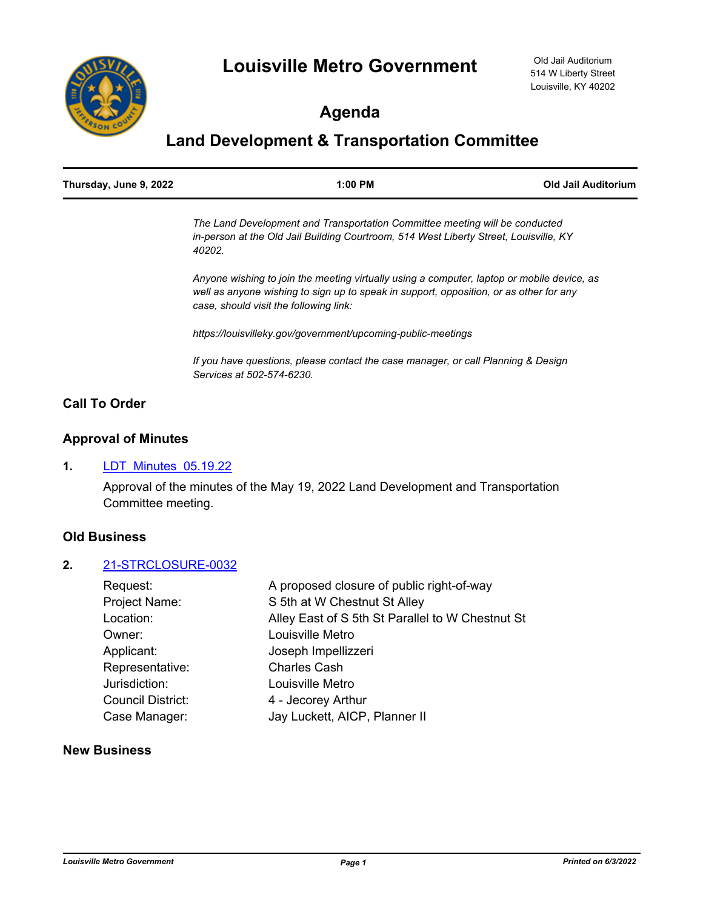

# **Agenda**

# **Land Development & Transportation Committee**

| Thursday, June 9, 2022 | $1:00$ PM                                                                   | Old Jail Auditorium |
|------------------------|-----------------------------------------------------------------------------|---------------------|
|                        | The Land Development and Transportation Committee meeting will be conducted |                     |

*in-person at the Old Jail Building Courtroom, 514 West Liberty Street, Louisville, KY 40202.*

*Anyone wishing to join the meeting virtually using a computer, laptop or mobile device, as well as anyone wishing to sign up to speak in support, opposition, or as other for any case, should visit the following link:*

*https://louisvilleky.gov/government/upcoming-public-meetings*

*If you have questions, please contact the case manager, or call Planning & Design Services at 502-574-6230.*

## **Call To Order**

## **Approval of Minutes**

## **1.** [LDT\\_Minutes\\_05.19.22](http://louisville.legistar.com/gateway.aspx?m=l&id=/matter.aspx?key=60530)

Approval of the minutes of the May 19, 2022 Land Development and Transportation Committee meeting.

## **Old Business**

#### **2.** [21-STRCLOSURE-0032](http://louisville.legistar.com/gateway.aspx?m=l&id=/matter.aspx?key=60166)

| Request:                 | A proposed closure of public right-of-way        |  |
|--------------------------|--------------------------------------------------|--|
| Project Name:            | S 5th at W Chestnut St Alley                     |  |
| Location:                | Alley East of S 5th St Parallel to W Chestnut St |  |
| Owner:                   | Louisville Metro                                 |  |
| Applicant:               | Joseph Impellizzeri                              |  |
| Representative:          | <b>Charles Cash</b>                              |  |
| Jurisdiction:            | Louisville Metro                                 |  |
| <b>Council District:</b> | 4 - Jecorey Arthur                               |  |
| Case Manager:            | Jay Luckett, AICP, Planner II                    |  |

### **New Business**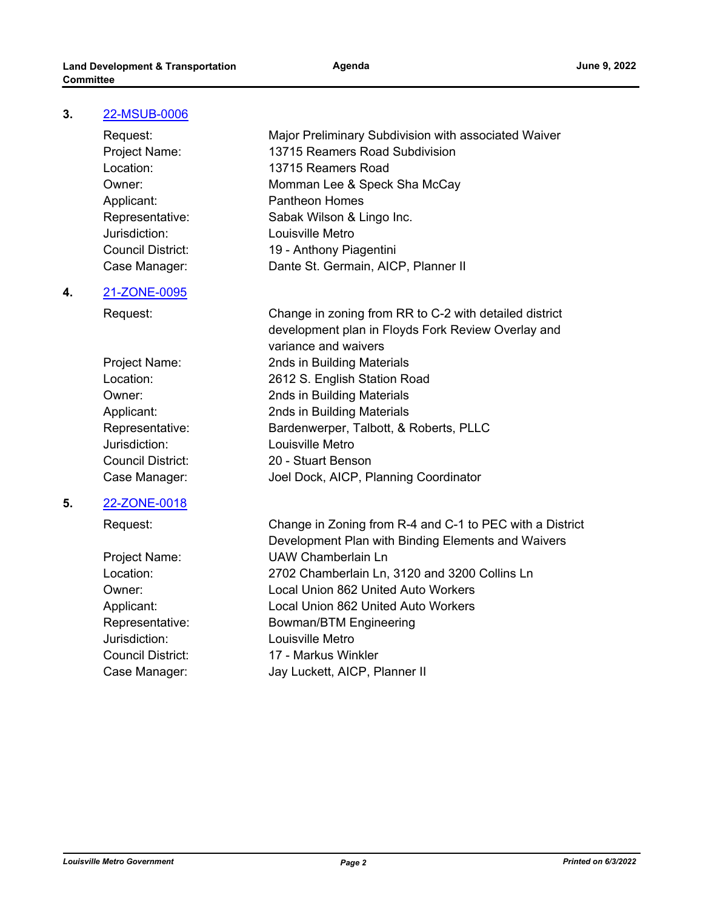#### **3.** [22-MSUB-0006](http://louisville.legistar.com/gateway.aspx?m=l&id=/matter.aspx?key=60527)

Jurisdiction: Louisville Metro

#### **4.** [21-ZONE-0095](http://louisville.legistar.com/gateway.aspx?m=l&id=/matter.aspx?key=60524)

Jurisdiction: Louisville Metro

#### **5.** [22-ZONE-0018](http://louisville.legistar.com/gateway.aspx?m=l&id=/matter.aspx?key=60514)

Jurisdiction: Louisville Metro

Request: Major Preliminary Subdivision with associated Waiver Project Name: 13715 Reamers Road Subdivision Location: 13715 Reamers Road Owner: Momman Lee & Speck Sha McCay Applicant: Pantheon Homes Representative: Sabak Wilson & Lingo Inc. Council District: 19 - Anthony Piagentini Case Manager: Dante St. Germain, AICP, Planner II

Request: Change in zoning from RR to C-2 with detailed district development plan in Floyds Fork Review Overlay and variance and waivers Project Name: 2nds in Building Materials Location: 2612 S. English Station Road Owner: 2nds in Building Materials Applicant: 2nds in Building Materials Representative: Bardenwerper, Talbott, & Roberts, PLLC Council District: 20 - Stuart Benson Case Manager: Joel Dock, AICP, Planning Coordinator

Request: Change in Zoning from R-4 and C-1 to PEC with a District Development Plan with Binding Elements and Waivers Project Name: UAW Chamberlain Ln Location: 2702 Chamberlain Ln, 3120 and 3200 Collins Ln Owner: Local Union 862 United Auto Workers Applicant: Local Union 862 United Auto Workers Representative: Bowman/BTM Engineering Council District: 17 - Markus Winkler Case Manager: Jay Luckett, AICP, Planner II